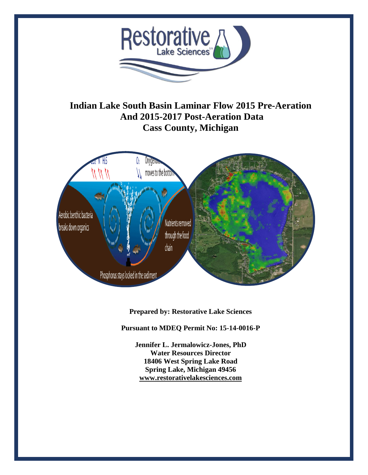

**Indian Lake South Basin Laminar Flow 2015 Pre-Aeration And 2015-2017 Post-Aeration Data Cass County, Michigan**



**Prepared by: Restorative Lake Sciences**

**Pursuant to MDEQ Permit No: 15-14-0016-P**

**Jennifer L. Jermalowicz-Jones, PhD Water Resources Director 18406 West Spring Lake Road Spring Lake, Michigan 49456 [www.restorativelakesciences.com](http://www.restorativelakesciences.com/)**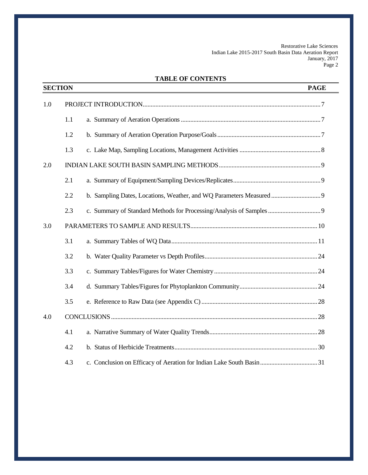# **TABLE OF CONTENTS**

|     | <b>SECTION</b> | <b>PAGE</b> |
|-----|----------------|-------------|
| 1.0 |                |             |
|     | 1.1            |             |
|     | 1.2            |             |
|     | 1.3            |             |
| 2.0 |                |             |
|     | 2.1            |             |
|     | 2.2            |             |
|     | 2.3            |             |
| 3.0 |                |             |
|     | 3.1            |             |
|     | 3.2            |             |
|     | 3.3            |             |
|     | 3.4            |             |
|     | 3.5            |             |
| 4.0 |                |             |
|     | 4.1            |             |
|     | 4.2            |             |
|     | 4.3            |             |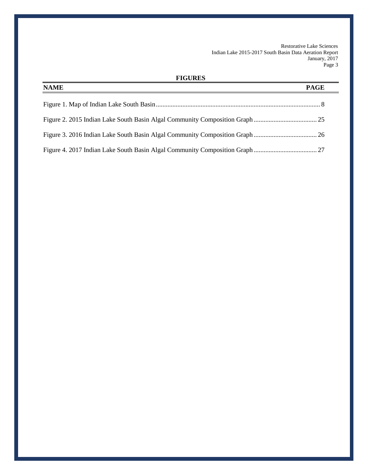# **FIGURES**

| <b>NAME</b> | <b>PAGE</b> |
|-------------|-------------|
|             |             |
|             |             |
|             |             |
|             |             |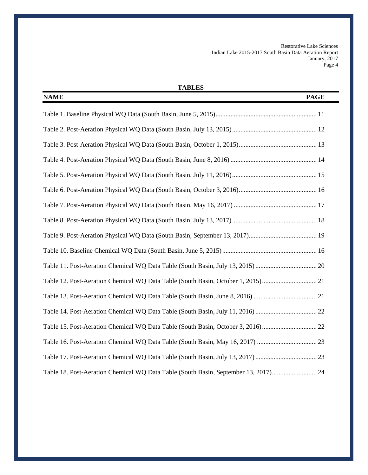# **TABLES**

| <b>NAME</b><br><b>PAGE</b>                                                          |
|-------------------------------------------------------------------------------------|
|                                                                                     |
|                                                                                     |
|                                                                                     |
|                                                                                     |
|                                                                                     |
|                                                                                     |
|                                                                                     |
|                                                                                     |
|                                                                                     |
|                                                                                     |
|                                                                                     |
| Table 12. Post-Aeration Chemical WQ Data Table (South Basin, October 1, 2015)21     |
|                                                                                     |
|                                                                                     |
| Table 15. Post-Aeration Chemical WQ Data Table (South Basin, October 3, 2016)22     |
|                                                                                     |
|                                                                                     |
| Table 18. Post-Aeration Chemical WQ Data Table (South Basin, September 13, 2017) 24 |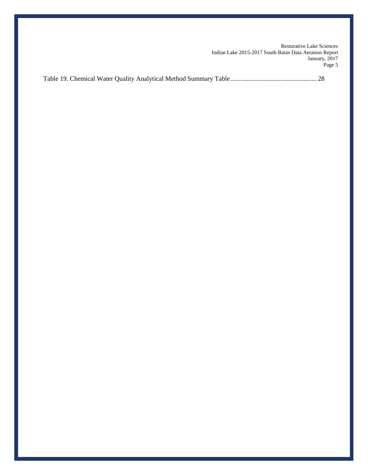Table 19. Chemical Water Quality Analytical Method Summary Table.................................................... 28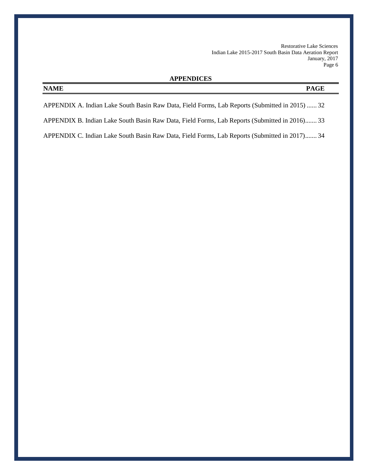### **APPENDICES**

# **NAME PAGE**

APPENDIX A. Indian Lake South Basin Raw Data, Field Forms, Lab Reports (Submitted in 2015) ...... 32

APPENDIX B. Indian Lake South Basin Raw Data, Field Forms, Lab Reports (Submitted in 2016)....... 33

APPENDIX C. Indian Lake South Basin Raw Data, Field Forms, Lab Reports (Submitted in 2017)....... 34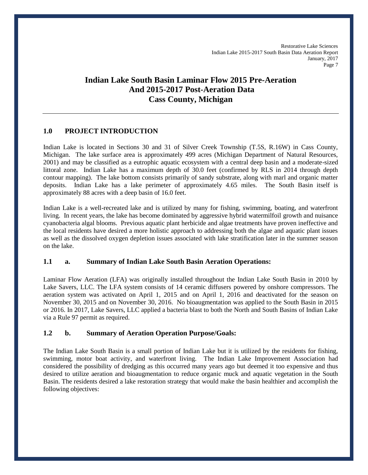# **Indian Lake South Basin Laminar Flow 2015 Pre-Aeration And 2015-2017 Post-Aeration Data Cass County, Michigan**

## **1.0 PROJECT INTRODUCTION**

Indian Lake is located in Sections 30 and 31 of Silver Creek Township (T.5S, R.16W) in Cass County, Michigan. The lake surface area is approximately 499 acres (Michigan Department of Natural Resources, 2001) and may be classified as a eutrophic aquatic ecosystem with a central deep basin and a moderate-sized littoral zone. Indian Lake has a maximum depth of 30.0 feet (confirmed by RLS in 2014 through depth contour mapping). The lake bottom consists primarily of sandy substrate, along with marl and organic matter deposits. Indian Lake has a lake perimeter of approximately 4.65 miles. The South Basin itself is approximately 88 acres with a deep basin of 16.0 feet.

Indian Lake is a well-recreated lake and is utilized by many for fishing, swimming, boating, and waterfront living. In recent years, the lake has become dominated by aggressive hybrid watermilfoil growth and nuisance cyanobacteria algal blooms. Previous aquatic plant herbicide and algae treatments have proven ineffective and the local residents have desired a more holistic approach to addressing both the algae and aquatic plant issues as well as the dissolved oxygen depletion issues associated with lake stratification later in the summer season on the lake.

#### **1.1 a. Summary of Indian Lake South Basin Aeration Operations:**

Laminar Flow Aeration (LFA) was originally installed throughout the Indian Lake South Basin in 2010 by Lake Savers, LLC. The LFA system consists of 14 ceramic diffusers powered by onshore compressors. The aeration system was activated on April 1, 2015 and on April 1, 2016 and deactivated for the season on November 30, 2015 and on November 30, 2016. No bioaugmentation was applied to the South Basin in 2015 or 2016. In 2017, Lake Savers, LLC applied a bacteria blast to both the North and South Basins of Indian Lake via a Rule 97 permit as required.

#### **1.2 b. Summary of Aeration Operation Purpose/Goals:**

The Indian Lake South Basin is a small portion of Indian Lake but it is utilized by the residents for fishing, swimming, motor boat activity, and waterfront living. The Indian Lake Improvement Association had considered the possibility of dredging as this occurred many years ago but deemed it too expensive and thus desired to utilize aeration and bioaugmentation to reduce organic muck and aquatic vegetation in the South Basin. The residents desired a lake restoration strategy that would make the basin healthier and accomplish the following objectives: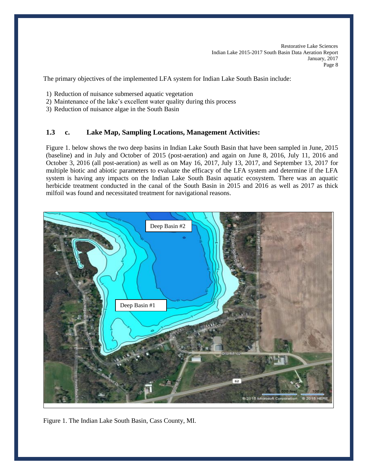The primary objectives of the implemented LFA system for Indian Lake South Basin include:

- 1) Reduction of nuisance submersed aquatic vegetation
- 2) Maintenance of the lake's excellent water quality during this process
- 3) Reduction of nuisance algae in the South Basin

## **1.3 c. Lake Map, Sampling Locations, Management Activities:**

Figure 1. below shows the two deep basins in Indian Lake South Basin that have been sampled in June, 2015 (baseline) and in July and October of 2015 (post-aeration) and again on June 8, 2016, July 11, 2016 and October 3, 2016 (all post-aeration) as well as on May 16, 2017, July 13, 2017, and September 13, 2017 for multiple biotic and abiotic parameters to evaluate the efficacy of the LFA system and determine if the LFA system is having any impacts on the Indian Lake South Basin aquatic ecosystem. There was an aquatic herbicide treatment conducted in the canal of the South Basin in 2015 and 2016 as well as 2017 as thick milfoil was found and necessitated treatment for navigational reasons.



Figure 1. The Indian Lake South Basin, Cass County, MI.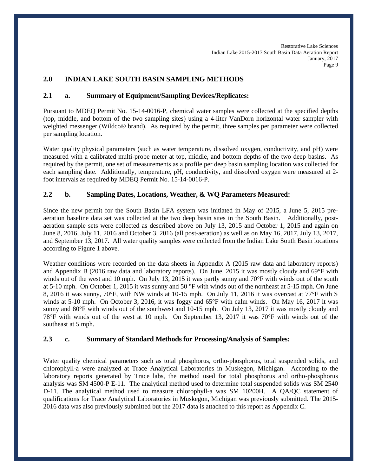## **2.0 INDIAN LAKE SOUTH BASIN SAMPLING METHODS**

### **2.1 a. Summary of Equipment/Sampling Devices/Replicates:**

Pursuant to MDEQ Permit No. 15-14-0016-P, chemical water samples were collected at the specified depths (top, middle, and bottom of the two sampling sites) using a 4-liter VanDorn horizontal water sampler with weighted messenger (Wildco® brand). As required by the permit, three samples per parameter were collected per sampling location.

Water quality physical parameters (such as water temperature, dissolved oxygen, conductivity, and pH) were measured with a calibrated multi-probe meter at top, middle, and bottom depths of the two deep basins. As required by the permit, one set of measurements as a profile per deep basin sampling location was collected for each sampling date. Additionally, temperature, pH, conductivity, and dissolved oxygen were measured at 2 foot intervals as required by MDEQ Permit No. 15-14-0016-P.

### **2.2 b. Sampling Dates, Locations, Weather, & WQ Parameters Measured:**

Since the new permit for the South Basin LFA system was initiated in May of 2015, a June 5, 2015 preaeration baseline data set was collected at the two deep basin sites in the South Basin. Additionally, postaeration sample sets were collected as described above on July 13, 2015 and October 1, 2015 and again on June 8, 2016, July 11, 2016 and October 3, 2016 (all post-aeration) as well as on May 16, 2017, July 13, 2017, and September 13, 2017. All water quality samples were collected from the Indian Lake South Basin locations according to Figure 1 above.

Weather conditions were recorded on the data sheets in Appendix A (2015 raw data and laboratory reports) and Appendix B (2016 raw data and laboratory reports). On June, 2015 it was mostly cloudy and 69°F with winds out of the west and 10 mph. On July 13, 2015 it was partly sunny and 70°F with winds out of the south at 5-10 mph. On October 1, 2015 it was sunny and 50 °F with winds out of the northeast at 5-15 mph. On June 8, 2016 it was sunny, 70°F, with NW winds at 10-15 mph. On July 11, 2016 it was overcast at 77°F with S winds at 5-10 mph. On October 3, 2016, it was foggy and 65°F with calm winds. On May 16, 2017 it was sunny and 80°F with winds out of the southwest and 10-15 mph. On July 13, 2017 it was mostly cloudy and 78°F with winds out of the west at 10 mph. On September 13, 2017 it was 70°F with winds out of the southeast at 5 mph.

#### **2.3 c. Summary of Standard Methods for Processing/Analysis of Samples:**

Water quality chemical parameters such as total phosphorus, ortho-phosphorus, total suspended solids, and chlorophyll-a were analyzed at Trace Analytical Laboratories in Muskegon, Michigan. According to the laboratory reports generated by Trace labs, the method used for total phosphorus and ortho-phosphorus analysis was SM 4500-P E-11. The analytical method used to determine total suspended solids was SM 2540 D-11. The analytical method used to measure chlorophyll-a was SM 10200H. A QA/QC statement of qualifications for Trace Analytical Laboratories in Muskegon, Michigan was previously submitted. The 2015- 2016 data was also previously submitted but the 2017 data is attached to this report as Appendix C.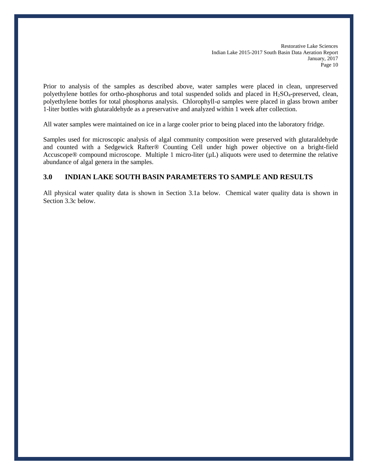Prior to analysis of the samples as described above, water samples were placed in clean, unpreserved polyethylene bottles for ortho-phosphorus and total suspended solids and placed in H2SO4-preserved, clean, polyethylene bottles for total phosphorus analysis. Chlorophyll-*a* samples were placed in glass brown amber 1-liter bottles with glutaraldehyde as a preservative and analyzed within 1 week after collection.

All water samples were maintained on ice in a large cooler prior to being placed into the laboratory fridge.

Samples used for microscopic analysis of algal community composition were preserved with glutaraldehyde and counted with a Sedgewick Rafter® Counting Cell under high power objective on a bright-field Accuscope® compound microscope. Multiple 1 micro-liter  $(\mu L)$  aliquots were used to determine the relative abundance of algal genera in the samples.

#### **3.0 INDIAN LAKE SOUTH BASIN PARAMETERS TO SAMPLE AND RESULTS**

All physical water quality data is shown in Section 3.1a below. Chemical water quality data is shown in Section 3.3c below.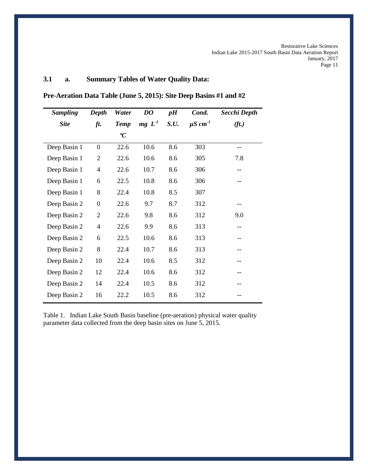# **3.1 a. Summary Tables of Water Quality Data:**

| <b>Sampling</b> | Depth            | Water       | DO       | pH   | Cond.                    | Secchi Depth      |
|-----------------|------------------|-------------|----------|------|--------------------------|-------------------|
| <b>Site</b>     | ft.              | <b>Temp</b> | $mg L-1$ | S.U. | $\mu$ S cm <sup>-1</sup> | (f <sub>t</sub> ) |
|                 |                  | ${}^oC$     |          |      |                          |                   |
| Deep Basin 1    | $\boldsymbol{0}$ | 22.6        | 10.6     | 8.6  | 303                      |                   |
| Deep Basin 1    | $\overline{2}$   | 22.6        | 10.6     | 8.6  | 305                      | 7.8               |
| Deep Basin 1    | $\overline{4}$   | 22.6        | 10.7     | 8.6  | 306                      | $- -$             |
| Deep Basin 1    | 6                | 22.5        | 10.8     | 8.6  | 306                      |                   |
| Deep Basin 1    | 8                | 22.4        | 10.8     | 8.5  | 307                      |                   |
| Deep Basin 2    | $\boldsymbol{0}$ | 22.6        | 9.7      | 8.7  | 312                      |                   |
| Deep Basin 2    | $\overline{2}$   | 22.6        | 9.8      | 8.6  | 312                      | 9.0               |
| Deep Basin 2    | $\overline{4}$   | 22.6        | 9.9      | 8.6  | 313                      | --                |
| Deep Basin 2    | 6                | 22.5        | 10.6     | 8.6  | 313                      |                   |
| Deep Basin 2    | 8                | 22.4        | 10.7     | 8.6  | 313                      |                   |
| Deep Basin 2    | 10               | 22.4        | 10.6     | 8.5  | 312                      |                   |
| Deep Basin 2    | 12               | 22.4        | 10.6     | 8.6  | 312                      |                   |
| Deep Basin 2    | 14               | 22.4        | 10.5     | 8.6  | 312                      |                   |
| Deep Basin 2    | 16               | 22.2        | 10.5     | 8.6  | 312                      |                   |

Table 1. Indian Lake South Basin baseline (pre-aeration) physical water quality parameter data collected from the deep basin sites on June 5, 2015.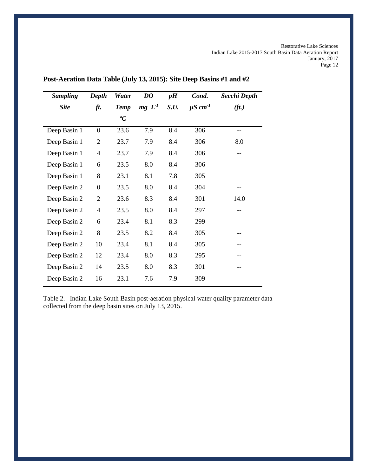| <b>Sampling</b> | Depth          | Water       | DO                | pH   | Cond.                    | Secchi Depth      |
|-----------------|----------------|-------------|-------------------|------|--------------------------|-------------------|
| <b>Site</b>     | ft.            | <b>Temp</b> | mg L <sup>1</sup> | S.U. | $\mu$ S cm <sup>-1</sup> | (f <sub>t</sub> ) |
|                 |                | ${}^oC$     |                   |      |                          |                   |
| Deep Basin 1    | $\overline{0}$ | 23.6        | 7.9               | 8.4  | 306                      | --                |
| Deep Basin 1    | $\overline{2}$ | 23.7        | 7.9               | 8.4  | 306                      | 8.0               |
| Deep Basin 1    | $\overline{4}$ | 23.7        | 7.9               | 8.4  | 306                      |                   |
| Deep Basin 1    | 6              | 23.5        | 8.0               | 8.4  | 306                      | --                |
| Deep Basin 1    | 8              | 23.1        | 8.1               | 7.8  | 305                      |                   |
| Deep Basin 2    | $\overline{0}$ | 23.5        | 8.0               | 8.4  | 304                      | --                |
| Deep Basin 2    | $\overline{2}$ | 23.6        | 8.3               | 8.4  | 301                      | 14.0              |
| Deep Basin 2    | 4              | 23.5        | 8.0               | 8.4  | 297                      | --                |
| Deep Basin 2    | 6              | 23.4        | 8.1               | 8.3  | 299                      |                   |
| Deep Basin 2    | 8              | 23.5        | 8.2               | 8.4  | 305                      |                   |
| Deep Basin 2    | 10             | 23.4        | 8.1               | 8.4  | 305                      | --                |
| Deep Basin 2    | 12             | 23.4        | 8.0               | 8.3  | 295                      | --                |
| Deep Basin 2    | 14             | 23.5        | 8.0               | 8.3  | 301                      |                   |
| Deep Basin 2    | 16             | 23.1        | 7.6               | 7.9  | 309                      |                   |

**Post-Aeration Data Table (July 13, 2015): Site Deep Basins #1 and #2**

Table 2. Indian Lake South Basin post-aeration physical water quality parameter data collected from the deep basin sites on July 13, 2015.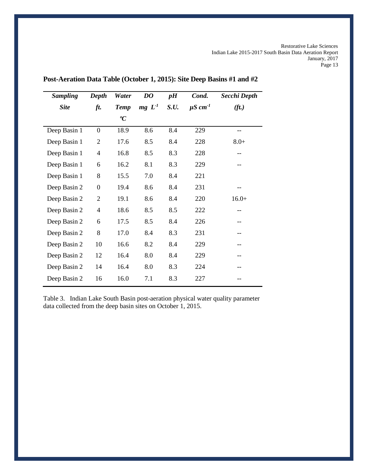| <b>Sampling</b> | Depth          | Water       | DO                | pH   | Cond.                    | Secchi Depth      |
|-----------------|----------------|-------------|-------------------|------|--------------------------|-------------------|
| <b>Site</b>     | ft.            | <b>Temp</b> | mg L <sup>1</sup> | S.U. | $\mu$ S cm <sup>-1</sup> | (f <sub>t</sub> ) |
|                 |                | ${}^oC$     |                   |      |                          |                   |
| Deep Basin 1    | $\overline{0}$ | 18.9        | 8.6               | 8.4  | 229                      | --                |
| Deep Basin 1    | $\overline{2}$ | 17.6        | 8.5               | 8.4  | 228                      | $8.0+$            |
| Deep Basin 1    | 4              | 16.8        | 8.5               | 8.3  | 228                      |                   |
| Deep Basin 1    | 6              | 16.2        | 8.1               | 8.3  | 229                      |                   |
| Deep Basin 1    | 8              | 15.5        | 7.0               | 8.4  | 221                      |                   |
| Deep Basin 2    | $\overline{0}$ | 19.4        | 8.6               | 8.4  | 231                      | --                |
| Deep Basin 2    | $\overline{2}$ | 19.1        | 8.6               | 8.4  | 220                      | $16.0+$           |
| Deep Basin 2    | $\overline{4}$ | 18.6        | 8.5               | 8.5  | 222                      |                   |
| Deep Basin 2    | 6              | 17.5        | 8.5               | 8.4  | 226                      |                   |
| Deep Basin 2    | 8              | 17.0        | 8.4               | 8.3  | 231                      |                   |
| Deep Basin 2    | 10             | 16.6        | 8.2               | 8.4  | 229                      |                   |
| Deep Basin 2    | 12             | 16.4        | 8.0               | 8.4  | 229                      | --                |
| Deep Basin 2    | 14             | 16.4        | 8.0               | 8.3  | 224                      |                   |
| Deep Basin 2    | 16             | 16.0        | 7.1               | 8.3  | 227                      |                   |

# **Post-Aeration Data Table (October 1, 2015): Site Deep Basins #1 and #2**

Table 3. Indian Lake South Basin post-aeration physical water quality parameter data collected from the deep basin sites on October 1, 2015.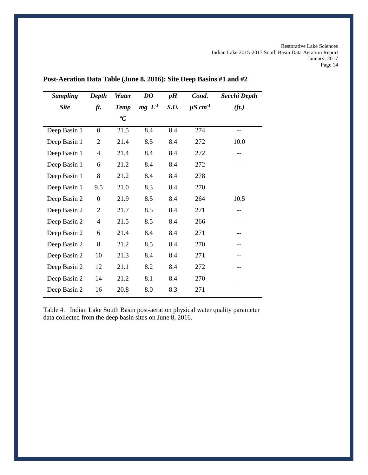| <b>Sampling</b> | Depth          | Water       | DO                | pH   | Cond.                    | Secchi Depth      |
|-----------------|----------------|-------------|-------------------|------|--------------------------|-------------------|
| <b>Site</b>     | ft.            | <b>Temp</b> | mg L <sup>1</sup> | S.U. | $\mu$ S cm <sup>-1</sup> | (f <sub>t</sub> ) |
|                 |                | ${}^oC$     |                   |      |                          |                   |
| Deep Basin 1    | $\overline{0}$ | 21.5        | 8.4               | 8.4  | 274                      | --                |
| Deep Basin 1    | 2              | 21.4        | 8.5               | 8.4  | 272                      | 10.0              |
| Deep Basin 1    | $\overline{4}$ | 21.4        | 8.4               | 8.4  | 272                      | --                |
| Deep Basin 1    | 6              | 21.2        | 8.4               | 8.4  | 272                      |                   |
| Deep Basin 1    | 8              | 21.2        | 8.4               | 8.4  | 278                      |                   |
| Deep Basin 1    | 9.5            | 21.0        | 8.3               | 8.4  | 270                      |                   |
| Deep Basin 2    | $\overline{0}$ | 21.9        | 8.5               | 8.4  | 264                      | 10.5              |
| Deep Basin 2    | $\overline{2}$ | 21.7        | 8.5               | 8.4  | 271                      | --                |
| Deep Basin 2    | $\overline{4}$ | 21.5        | 8.5               | 8.4  | 266                      | --                |
| Deep Basin 2    | 6              | 21.4        | 8.4               | 8.4  | 271                      | --                |
| Deep Basin 2    | 8              | 21.2        | 8.5               | 8.4  | 270                      | --                |
| Deep Basin 2    | 10             | 21.3        | 8.4               | 8.4  | 271                      |                   |
| Deep Basin 2    | 12             | 21.1        | 8.2               | 8.4  | 272                      |                   |
| Deep Basin 2    | 14             | 21.2        | 8.1               | 8.4  | 270                      |                   |
| Deep Basin 2    | 16             | 20.8        | 8.0               | 8.3  | 271                      |                   |

**Post-Aeration Data Table (June 8, 2016): Site Deep Basins #1 and #2**

Table 4. Indian Lake South Basin post-aeration physical water quality parameter data collected from the deep basin sites on June 8, 2016.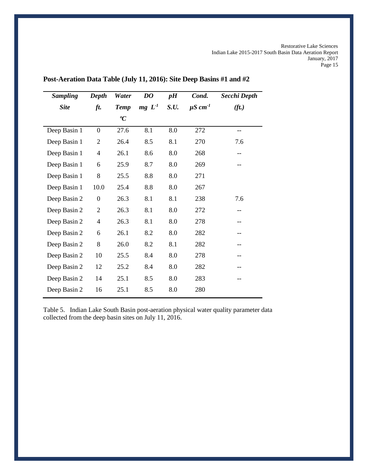| <b>Sampling</b> | Depth            | Water       | DO                | pH   | Cond.                    | Secchi Depth      |
|-----------------|------------------|-------------|-------------------|------|--------------------------|-------------------|
| <b>Site</b>     | ft.              | <b>Temp</b> | mg L <sup>1</sup> | S.U. | $\mu$ S cm <sup>-1</sup> | (f <sub>t</sub> ) |
|                 |                  | ${}^oC$     |                   |      |                          |                   |
| Deep Basin 1    | $\boldsymbol{0}$ | 27.6        | 8.1               | 8.0  | 272                      | --                |
| Deep Basin 1    | 2                | 26.4        | 8.5               | 8.1  | 270                      | 7.6               |
| Deep Basin 1    | 4                | 26.1        | 8.6               | 8.0  | 268                      | --                |
| Deep Basin 1    | 6                | 25.9        | 8.7               | 8.0  | 269                      |                   |
| Deep Basin 1    | 8                | 25.5        | 8.8               | 8.0  | 271                      |                   |
| Deep Basin 1    | 10.0             | 25.4        | 8.8               | 8.0  | 267                      |                   |
| Deep Basin 2    | $\overline{0}$   | 26.3        | 8.1               | 8.1  | 238                      | 7.6               |
| Deep Basin 2    | $\overline{2}$   | 26.3        | 8.1               | 8.0  | 272                      | --                |
| Deep Basin 2    | $\overline{4}$   | 26.3        | 8.1               | 8.0  | 278                      | --                |
| Deep Basin 2    | 6                | 26.1        | 8.2               | 8.0  | 282                      | --                |
| Deep Basin 2    | 8                | 26.0        | 8.2               | 8.1  | 282                      | --                |
| Deep Basin 2    | 10               | 25.5        | 8.4               | 8.0  | 278                      |                   |
| Deep Basin 2    | 12               | 25.2        | 8.4               | 8.0  | 282                      |                   |
| Deep Basin 2    | 14               | 25.1        | 8.5               | 8.0  | 283                      |                   |
| Deep Basin 2    | 16               | 25.1        | 8.5               | 8.0  | 280                      |                   |

**Post-Aeration Data Table (July 11, 2016): Site Deep Basins #1 and #2**

Table 5. Indian Lake South Basin post-aeration physical water quality parameter data collected from the deep basin sites on July 11, 2016.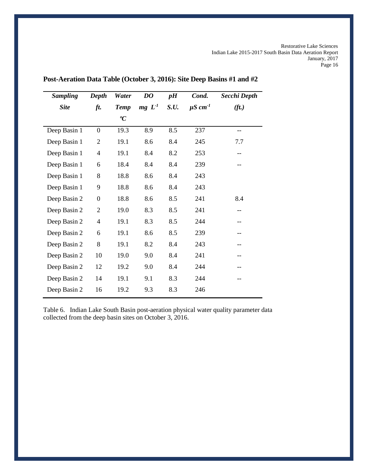| <b>Sampling</b> | <b>Depth</b>     | Water       | DO       | pH   | Cond.                    | Secchi Depth      |
|-----------------|------------------|-------------|----------|------|--------------------------|-------------------|
| <b>Site</b>     | ft.              | <b>Temp</b> | $mg L-1$ | S.U. | $\mu$ S cm <sup>-1</sup> | (f <sub>t</sub> ) |
|                 |                  | ${}^oC$     |          |      |                          |                   |
| Deep Basin 1    | $\boldsymbol{0}$ | 19.3        | 8.9      | 8.5  | 237                      | --                |
| Deep Basin 1    | $\overline{2}$   | 19.1        | 8.6      | 8.4  | 245                      | 7.7               |
| Deep Basin 1    | $\overline{4}$   | 19.1        | 8.4      | 8.2  | 253                      | --                |
| Deep Basin 1    | 6                | 18.4        | 8.4      | 8.4  | 239                      |                   |
| Deep Basin 1    | 8                | 18.8        | 8.6      | 8.4  | 243                      |                   |
| Deep Basin 1    | 9                | 18.8        | 8.6      | 8.4  | 243                      |                   |
| Deep Basin 2    | $\overline{0}$   | 18.8        | 8.6      | 8.5  | 241                      | 8.4               |
| Deep Basin 2    | $\overline{2}$   | 19.0        | 8.3      | 8.5  | 241                      | --                |
| Deep Basin 2    | $\overline{4}$   | 19.1        | 8.3      | 8.5  | 244                      | --                |
| Deep Basin 2    | 6                | 19.1        | 8.6      | 8.5  | 239                      | --                |
| Deep Basin 2    | 8                | 19.1        | 8.2      | 8.4  | 243                      |                   |
| Deep Basin 2    | 10               | 19.0        | 9.0      | 8.4  | 241                      |                   |
| Deep Basin 2    | 12               | 19.2        | 9.0      | 8.4  | 244                      |                   |
| Deep Basin 2    | 14               | 19.1        | 9.1      | 8.3  | 244                      |                   |
| Deep Basin 2    | 16               | 19.2        | 9.3      | 8.3  | 246                      |                   |

# **Post-Aeration Data Table (October 3, 2016): Site Deep Basins #1 and #2**

Table 6. Indian Lake South Basin post-aeration physical water quality parameter data collected from the deep basin sites on October 3, 2016.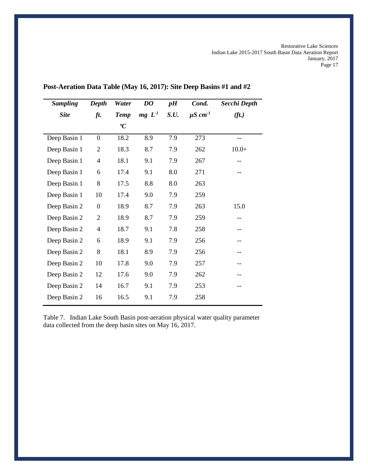| <b>Sampling</b> | Depth            | Water       | DO       | pH   | Cond.                    | Secchi Depth      |
|-----------------|------------------|-------------|----------|------|--------------------------|-------------------|
| <b>Site</b>     | ft.              | <b>Temp</b> | $mg L-1$ | S.U. | $\mu$ S cm <sup>-1</sup> | (f <sub>t</sub> ) |
|                 |                  | ${}^oC$     |          |      |                          |                   |
| Deep Basin 1    | $\overline{0}$   | 18.2        | 8.9      | 7.9  | 273                      | --                |
| Deep Basin 1    | $\overline{2}$   | 18.3        | 8.7      | 7.9  | 262                      | $10.0+$           |
| Deep Basin 1    | 4                | 18.1        | 9.1      | 7.9  | 267                      | --                |
| Deep Basin 1    | 6                | 17.4        | 9.1      | 8.0  | 271                      |                   |
| Deep Basin 1    | 8                | 17.5        | 8.8      | 8.0  | 263                      |                   |
| Deep Basin 1    | 10               | 17.4        | 9.0      | 7.9  | 259                      |                   |
| Deep Basin 2    | $\boldsymbol{0}$ | 18.9        | 8.7      | 7.9  | 263                      | 15.0              |
| Deep Basin 2    | $\overline{2}$   | 18.9        | 8.7      | 7.9  | 259                      | $-$               |
| Deep Basin 2    | $\overline{4}$   | 18.7        | 9.1      | 7.8  | 258                      | --                |
| Deep Basin 2    | 6                | 18.9        | 9.1      | 7.9  | 256                      | --                |
| Deep Basin 2    | 8                | 18.1        | 8.9      | 7.9  | 256                      | --                |
| Deep Basin 2    | 10               | 17.8        | 9.0      | 7.9  | 257                      | --                |
| Deep Basin 2    | 12               | 17.6        | 9.0      | 7.9  | 262                      |                   |
| Deep Basin 2    | 14               | 16.7        | 9.1      | 7.9  | 253                      |                   |
| Deep Basin 2    | 16               | 16.5        | 9.1      | 7.9  | 258                      |                   |

**Post-Aeration Data Table (May 16, 2017): Site Deep Basins #1 and #2**

Table 7. Indian Lake South Basin post-aeration physical water quality parameter data collected from the deep basin sites on May 16, 2017.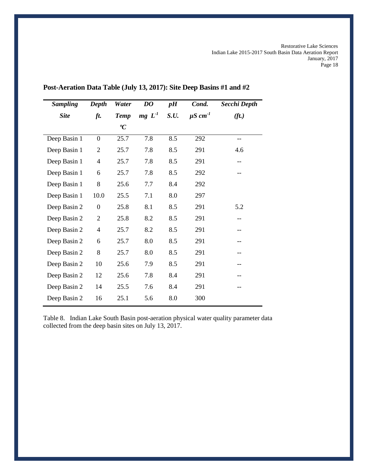| <b>Sampling</b> | Depth            | Water       | DO                | pH   | Cond.                    | Secchi Depth      |
|-----------------|------------------|-------------|-------------------|------|--------------------------|-------------------|
| <b>Site</b>     | ft.              | <b>Temp</b> | mg L <sup>1</sup> | S.U. | $\mu$ S cm <sup>-1</sup> | (f <sub>t</sub> ) |
|                 |                  | ${}^oC$     |                   |      |                          |                   |
| Deep Basin 1    | $\boldsymbol{0}$ | 25.7        | 7.8               | 8.5  | 292                      | $-$               |
| Deep Basin 1    | $\overline{2}$   | 25.7        | 7.8               | 8.5  | 291                      | 4.6               |
| Deep Basin 1    | 4                | 25.7        | 7.8               | 8.5  | 291                      |                   |
| Deep Basin 1    | 6                | 25.7        | 7.8               | 8.5  | 292                      |                   |
| Deep Basin 1    | 8                | 25.6        | 7.7               | 8.4  | 292                      |                   |
| Deep Basin 1    | 10.0             | 25.5        | 7.1               | 8.0  | 297                      |                   |
| Deep Basin 2    | $\boldsymbol{0}$ | 25.8        | 8.1               | 8.5  | 291                      | 5.2               |
| Deep Basin 2    | $\overline{2}$   | 25.8        | 8.2               | 8.5  | 291                      |                   |
| Deep Basin 2    | 4                | 25.7        | 8.2               | 8.5  | 291                      |                   |
| Deep Basin 2    | 6                | 25.7        | 8.0               | 8.5  | 291                      |                   |
| Deep Basin 2    | 8                | 25.7        | 8.0               | 8.5  | 291                      |                   |
| Deep Basin 2    | 10               | 25.6        | 7.9               | 8.5  | 291                      | --                |
| Deep Basin 2    | 12               | 25.6        | 7.8               | 8.4  | 291                      |                   |
| Deep Basin 2    | 14               | 25.5        | 7.6               | 8.4  | 291                      |                   |
| Deep Basin 2    | 16               | 25.1        | 5.6               | 8.0  | 300                      |                   |

**Post-Aeration Data Table (July 13, 2017): Site Deep Basins #1 and #2**

Table 8. Indian Lake South Basin post-aeration physical water quality parameter data collected from the deep basin sites on July 13, 2017.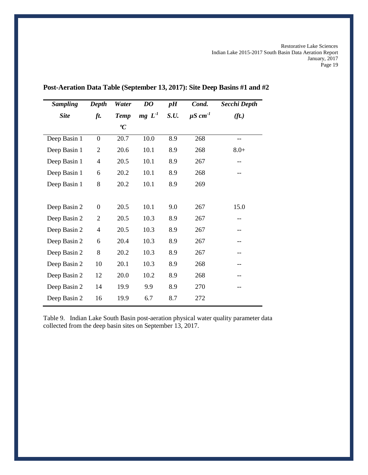| <b>Sampling</b> | Depth          | Water       | DO                | pH   | Cond.                    | Secchi Depth      |
|-----------------|----------------|-------------|-------------------|------|--------------------------|-------------------|
| <b>Site</b>     | ft.            | <b>Temp</b> | mg L <sup>1</sup> | S.U. | $\mu$ S cm <sup>-1</sup> | (f <sub>t</sub> ) |
|                 |                | ${}^oC$     |                   |      |                          |                   |
| Deep Basin 1    | $\theta$       | 20.7        | 10.0              | 8.9  | 268                      |                   |
| Deep Basin 1    | $\overline{2}$ | 20.6        | 10.1              | 8.9  | 268                      | $8.0+$            |
| Deep Basin 1    | $\overline{4}$ | 20.5        | 10.1              | 8.9  | 267                      |                   |
| Deep Basin 1    | 6              | 20.2        | 10.1              | 8.9  | 268                      |                   |
| Deep Basin 1    | 8              | 20.2        | 10.1              | 8.9  | 269                      |                   |
|                 |                |             |                   |      |                          |                   |
| Deep Basin 2    | $\overline{0}$ | 20.5        | 10.1              | 9.0  | 267                      | 15.0              |
| Deep Basin 2    | $\overline{2}$ | 20.5        | 10.3              | 8.9  | 267                      | --                |
| Deep Basin 2    | $\overline{4}$ | 20.5        | 10.3              | 8.9  | 267                      | --                |
| Deep Basin 2    | 6              | 20.4        | 10.3              | 8.9  | 267                      | --                |
| Deep Basin 2    | 8              | 20.2        | 10.3              | 8.9  | 267                      | --                |
| Deep Basin 2    | 10             | 20.1        | 10.3              | 8.9  | 268                      |                   |
| Deep Basin 2    | 12             | 20.0        | 10.2              | 8.9  | 268                      |                   |
| Deep Basin 2    | 14             | 19.9        | 9.9               | 8.9  | 270                      |                   |
| Deep Basin 2    | 16             | 19.9        | 6.7               | 8.7  | 272                      |                   |

# **Post-Aeration Data Table (September 13, 2017): Site Deep Basins #1 and #2**

Table 9. Indian Lake South Basin post-aeration physical water quality parameter data collected from the deep basin sites on September 13, 2017.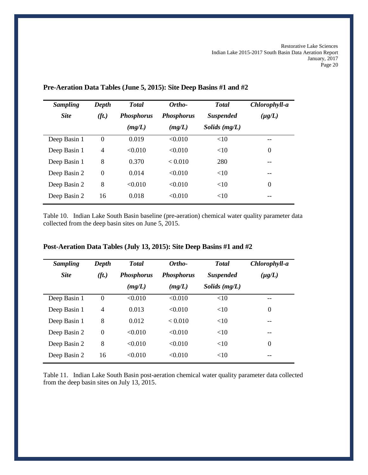| <b>Sampling</b> | Depth          | <b>T</b> otal     | Ortho-            | <b>Total</b>     | Chlorophyll-a  |
|-----------------|----------------|-------------------|-------------------|------------------|----------------|
| <b>Site</b>     | (ft.)          | <b>Phosphorus</b> | <b>Phosphorus</b> | <b>Suspended</b> | $(\mu g/L)$    |
|                 |                | (mg/L)            | (mg/L)            | Solids $(mg/L)$  |                |
| Deep Basin 1    | $\theta$       | 0.019             | < 0.010           | <10              |                |
| Deep Basin 1    | $\overline{4}$ | < 0.010           | < 0.010           | <10              | $\overline{0}$ |
| Deep Basin 1    | 8              | 0.370             | < 0.010           | 280              | --             |
| Deep Basin 2    | $\theta$       | 0.014             | < 0.010           | <10              | --             |
| Deep Basin 2    | 8              | < 0.010           | < 0.010           | <10              | $\overline{0}$ |
| Deep Basin 2    | 16             | 0.018             | < 0.010           | <10              |                |

### **Pre-Aeration Data Tables (June 5, 2015): Site Deep Basins #1 and #2**

Table 10. Indian Lake South Basin baseline (pre-aeration) chemical water quality parameter data collected from the deep basin sites on June 5, 2015.

| <b>Sampling</b> | Depth             | <b>T</b> otal     | Ortho-            | <b>Total</b>     | Chlorophyll-a    |
|-----------------|-------------------|-------------------|-------------------|------------------|------------------|
| <b>Site</b>     | (f <sub>t</sub> ) | <b>Phosphorus</b> | <b>Phosphorus</b> | <b>Suspended</b> | $(\mu g/L)$      |
|                 |                   | (mg/L)            | (mg/L)            | Solids $(mg/L)$  |                  |
| Deep Basin 1    | $\theta$          | < 0.010           | < 0.010           | <10              | --               |
| Deep Basin 1    | $\overline{4}$    | 0.013             | < 0.010           | <10              | $\boldsymbol{0}$ |
| Deep Basin 1    | 8                 | 0.012             | < 0.010           | <10              |                  |
| Deep Basin 2    | $\Omega$          | < 0.010           | < 0.010           | <10              |                  |
| Deep Basin 2    | 8                 | < 0.010           | < 0.010           | <10              | $\theta$         |
| Deep Basin 2    | 16                | $\leq 0.010$      | < 0.010           | <10              | --               |

# **Post-Aeration Data Tables (July 13, 2015): Site Deep Basins #1 and #2**

Table 11. Indian Lake South Basin post-aeration chemical water quality parameter data collected from the deep basin sites on July 13, 2015.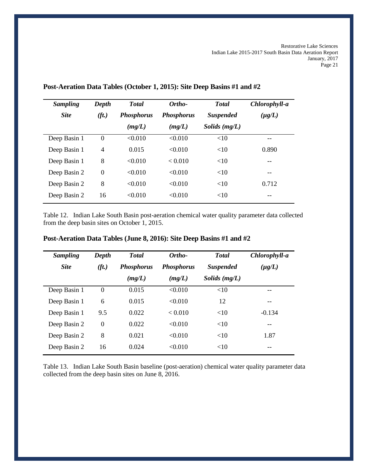| <b>Sampling</b> | Depth             | <b>Total</b>      | Ortho-            | <b>Total</b>     | Chlorophyll-a |
|-----------------|-------------------|-------------------|-------------------|------------------|---------------|
| <b>Site</b>     | (f <sub>t</sub> ) | <b>Phosphorus</b> | <b>Phosphorus</b> | <b>Suspended</b> | $(\mu g/L)$   |
|                 |                   | (mg/L)            | (mg/L)            | Solids $(mg/L)$  |               |
| Deep Basin 1    | $\Omega$          | < 0.010           | < 0.010           | <10              |               |
| Deep Basin 1    | $\overline{4}$    | 0.015             | < 0.010           | <10              | 0.890         |
| Deep Basin 1    | 8                 | < 0.010           | < 0.010           | <10              | --            |
| Deep Basin 2    | $\mathbf{0}$      | < 0.010           | < 0.010           | <10              | --            |
| Deep Basin 2    | 8                 | < 0.010           | < 0.010           | <10              | 0.712         |
| Deep Basin 2    | 16                | < 0.010           | < 0.010           | <10              | --            |

# **Post-Aeration Data Tables (October 1, 2015): Site Deep Basins #1 and #2**

Table 12. Indian Lake South Basin post-aeration chemical water quality parameter data collected from the deep basin sites on October 1, 2015.

| <b>Sampling</b> | Depth    | <b>Total</b>      | Ortho-            | <b>T</b> otal    | Chlorophyll-a |
|-----------------|----------|-------------------|-------------------|------------------|---------------|
| <b>Site</b>     | (ft.)    | <b>Phosphorus</b> | <b>Phosphorus</b> | <b>Suspended</b> | $(\mu g/L)$   |
|                 |          | (mg/L)            | (mg/L)            | Solids $(mg/L)$  |               |
| Deep Basin 1    | $\Omega$ | 0.015             | < 0.010           | <10              |               |
| Deep Basin 1    | 6        | 0.015             | < 0.010           | 12               |               |
| Deep Basin 1    | 9.5      | 0.022             | < 0.010           | <10              | $-0.134$      |
| Deep Basin 2    | $\Omega$ | 0.022             | < 0.010           | <10              | $- -$         |
| Deep Basin 2    | 8        | 0.021             | < 0.010           | <10              | 1.87          |
| Deep Basin 2    | 16       | 0.024             | < 0.010           | <10              | --            |

# **Post-Aeration Data Tables (June 8, 2016): Site Deep Basins #1 and #2**

Table 13. Indian Lake South Basin baseline (post-aeration) chemical water quality parameter data collected from the deep basin sites on June 8, 2016.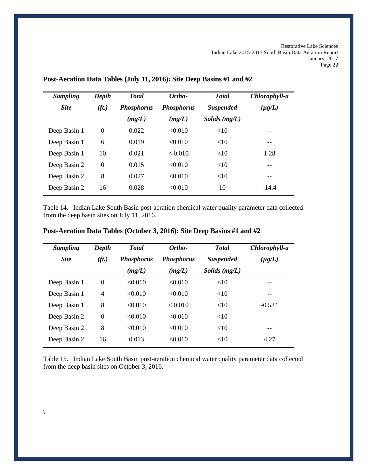| <b>Sampling</b> | Depth             | <b>T</b> otal     | Ortho-            | <b>Total</b>     | Chlorophyll-a |
|-----------------|-------------------|-------------------|-------------------|------------------|---------------|
| <b>Site</b>     | (f <sub>t</sub> ) | <b>Phosphorus</b> | <b>Phosphorus</b> | <b>Suspended</b> | $(\mu g/L)$   |
|                 |                   | (mg/L)            | (mg/L)            | Solids $(mg/L)$  |               |
| Deep Basin 1    | $\Omega$          | 0.022             | < 0.010           | <10              |               |
| Deep Basin 1    | 6                 | 0.019             | < 0.010           | <10              | --            |
| Deep Basin 1    | 10                | 0.021             | < 0.010           | <10              | 1.28          |
| Deep Basin 2    | $\theta$          | 0.015             | < 0.010           | <10              | --            |
| Deep Basin 2    | 8                 | 0.027             | < 0.010           | <10              | --            |
| Deep Basin 2    | 16                | 0.028             | < 0.010           | 10               | $-14.4$       |

### **Post-Aeration Data Tables (July 11, 2016): Site Deep Basins #1 and #2**

Table 14. Indian Lake South Basin post-aeration chemical water quality parameter data collected from the deep basin sites on July 11, 2016.

| <b>Sampling</b> | Depth    | <b>Total</b>      | Ortho-            | <b>T</b> otal    | Chlorophyll-a |
|-----------------|----------|-------------------|-------------------|------------------|---------------|
| <b>Site</b>     | (ft.)    | <b>Phosphorus</b> | <b>Phosphorus</b> | <b>Suspended</b> | $(\mu g/L)$   |
|                 |          | (mg/L)            | (mg/L)            | Solids $(mg/L)$  |               |
| Deep Basin 1    | $\Omega$ | < 0.010           | < 0.010           | <10              | --            |
| Deep Basin 1    | 4        | < 0.010           | < 0.010           | <10              | --            |
| Deep Basin 1    | 8        | < 0.010           | < 0.010           | <10              | $-0.534$      |
| Deep Basin 2    | $\Omega$ | < 0.010           | < 0.010           | <10              | --            |
| Deep Basin 2    | 8        | < 0.010           | < 0.010           | <10              | --            |
| Deep Basin 2    | 16       | 0.013             | < 0.010           | <10              | 4.27          |

# **Post-Aeration Data Tables (October 3, 2016): Site Deep Basins #1 and #2**

Table 15. Indian Lake South Basin post-aeration chemical water quality parameter data collected from the deep basin sites on October 3, 2016.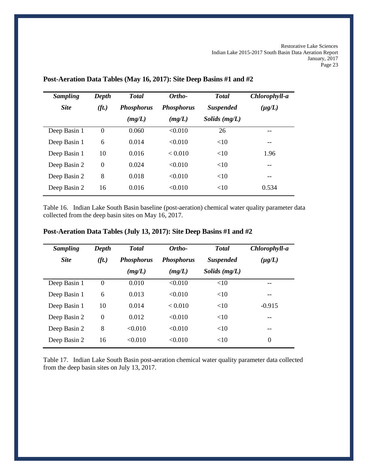| <b>Sampling</b> | Depth             | <b>T</b> otal     | Ortho-            | <b>Total</b>     | Chlorophyll-a |
|-----------------|-------------------|-------------------|-------------------|------------------|---------------|
| <b>Site</b>     | (f <sub>t</sub> ) | <b>Phosphorus</b> | <b>Phosphorus</b> | <b>Suspended</b> | $(\mu g/L)$   |
|                 |                   | (mg/L)            | (mg/L)            | Solids $(mg/L)$  |               |
| Deep Basin 1    | $\Omega$          | 0.060             | < 0.010           | 26               | --            |
| Deep Basin 1    | 6                 | 0.014             | < 0.010           | <10              | --            |
| Deep Basin 1    | 10                | 0.016             | < 0.010           | <10              | 1.96          |
| Deep Basin 2    | $\Omega$          | 0.024             | < 0.010           | <10              | $- -$         |
| Deep Basin 2    | 8                 | 0.018             | < 0.010           | <10              | $- -$         |
| Deep Basin 2    | 16                | 0.016             | < 0.010           | <10              | 0.534         |

### **Post-Aeration Data Tables (May 16, 2017): Site Deep Basins #1 and #2**

Table 16. Indian Lake South Basin baseline (post-aeration) chemical water quality parameter data collected from the deep basin sites on May 16, 2017.

| <b>Sampling</b> | Depth    | <b>Total</b>      | Ortho-            | <b>Total</b>     | Chlorophyll-a    |
|-----------------|----------|-------------------|-------------------|------------------|------------------|
| <b>Site</b>     | (ft.)    | <b>Phosphorus</b> | <b>Phosphorus</b> | <b>Suspended</b> | $(\mu g/L)$      |
|                 |          | (mg/L)            | (mg/L)            | Solids $(mg/L)$  |                  |
| Deep Basin 1    | $\Omega$ | 0.010             | < 0.010           | <10              | --               |
| Deep Basin 1    | 6        | 0.013             | < 0.010           | <10              | --               |
| Deep Basin 1    | 10       | 0.014             | < 0.010           | <10              | $-0.915$         |
| Deep Basin 2    | $\Omega$ | 0.012             | < 0.010           | <10              | --               |
| Deep Basin 2    | 8        | < 0.010           | < 0.010           | <10              |                  |
| Deep Basin 2    | 16       | < 0.010           | < 0.010           | <10              | $\boldsymbol{0}$ |

# **Post-Aeration Data Tables (July 13, 2017): Site Deep Basins #1 and #2**

Table 17. Indian Lake South Basin post-aeration chemical water quality parameter data collected from the deep basin sites on July 13, 2017.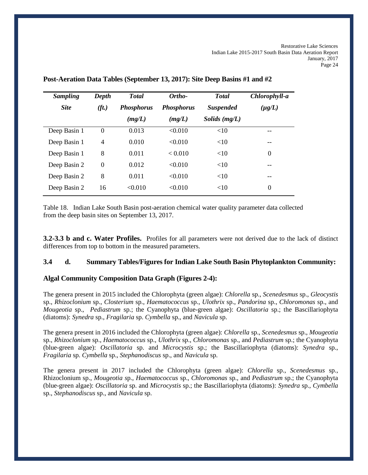| <b>Sampling</b> | Depth          | <b>T</b> otal     | Ortho-            | <b>Total</b>     | Chlorophyll-a    |
|-----------------|----------------|-------------------|-------------------|------------------|------------------|
| <b>Site</b>     | (ft.)          | <b>Phosphorus</b> | <b>Phosphorus</b> | <b>Suspended</b> | $(\mu g/L)$      |
|                 |                | (mg/L)            | (mg/L)            | Solids $(mg/L)$  |                  |
| Deep Basin 1    | $\Omega$       | 0.013             | < 0.010           | <10              |                  |
| Deep Basin 1    | $\overline{4}$ | 0.010             | < 0.010           | <10              | --               |
| Deep Basin 1    | 8              | 0.011             | < 0.010           | <10              | $\boldsymbol{0}$ |
| Deep Basin 2    | $\Omega$       | 0.012             | < 0.010           | <10              | --               |
| Deep Basin 2    | 8              | 0.011             | < 0.010           | <10              | --               |
| Deep Basin 2    | 16             | < 0.010           | < 0.010           | <10              | $\Omega$         |

#### **Post-Aeration Data Tables (September 13, 2017): Site Deep Basins #1 and #2**

Table 18. Indian Lake South Basin post-aeration chemical water quality parameter data collected from the deep basin sites on September 13, 2017.

**3.2-3.3 b and c. Water Profiles.** Profiles for all parameters were not derived due to the lack of distinct differences from top to bottom in the measured parameters.

#### **3.4 d. Summary Tables/Figures for Indian Lake South Basin Phytoplankton Community:**

#### **Algal Community Composition Data Graph (Figures 2-4):**

The genera present in 2015 included the Chlorophyta (green algae): *Chlorella* sp., *Scenedesmus* sp., *Gleocystis* sp., *Rhizoclonium* sp., *Closterium* sp., *Haematococcus* sp., *Ulothrix* sp., *Pandorina* sp., *Chloromonas* sp., and *Mougeotia* sp., *Pediastrum* sp.; the Cyanophyta (blue-green algae): *Oscillatoria* sp.; the Bascillariophyta (diatoms): *Synedra* sp., *Fragilaria* sp. *Cymbella* sp., and *Navicula* sp.

The genera present in 2016 included the Chlorophyta (green algae): *Chlorella* sp., *Scenedesmus* sp., *Mougeotia*  sp., *Rhizoclonium* sp., *Haematococcus* sp., *Ulothrix* sp., *Chloromonas* sp., and *Pediastrum* sp.; the Cyanophyta (blue-green algae): *Oscillatoria* sp. and *Microcystis* sp.; the Bascillariophyta (diatoms): *Synedra* sp., *Fragilaria* sp. *Cymbella* sp., *Stephanodiscus* sp., and *Navicula* sp.

The genera present in 2017 included the Chlorophyta (green algae): *Chlorella* sp., *Scenedesmus* sp., Rhizoclonium sp., *Mougeotia s*p., *Haematococcus* sp., *Chloromonas* sp., and *Pediastrum* sp.; the Cyanophyta (blue-green algae): *Oscillatoria* sp. and *Microcystis* sp.; the Bascillariophyta (diatoms): *Synedra* sp., *Cymbella* sp., *Stephanodiscus* sp., and *Navicula* sp.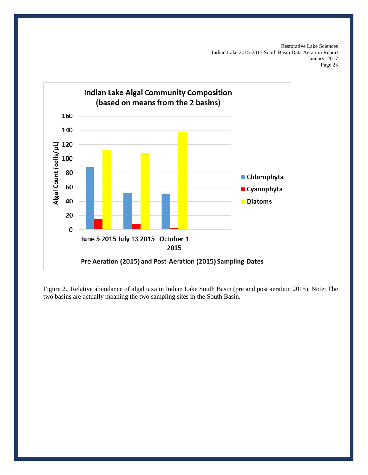

Figure 2. Relative abundance of algal taxa in Indian Lake South Basin (pre and post aeration 2015). Note: The two basins are actually meaning the two sampling sites in the South Basin.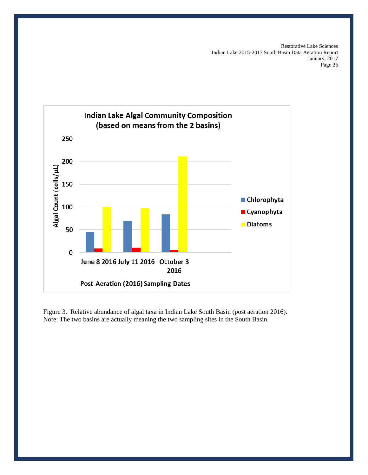

Figure 3. Relative abundance of algal taxa in Indian Lake South Basin (post aeration 2016). Note: The two basins are actually meaning the two sampling sites in the South Basin.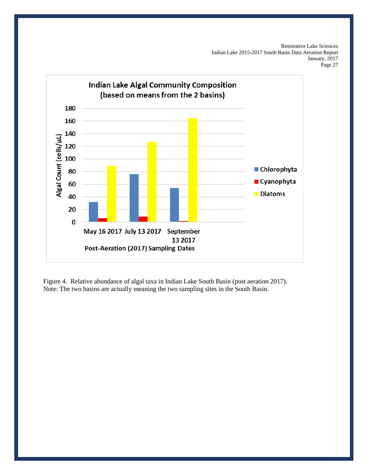

Figure 4. Relative abundance of algal taxa in Indian Lake South Basin (post aeration 2017). Note: The two basins are actually meaning the two sampling sites in the South Basin.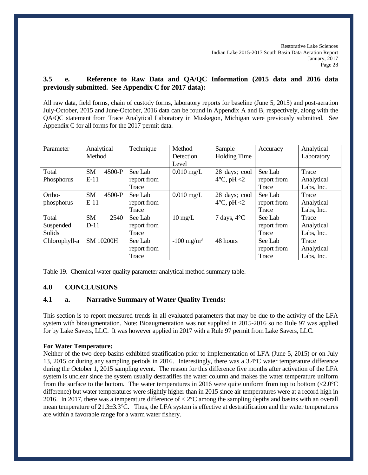# **3.5 e. Reference to Raw Data and QA/QC Information (2015 data and 2016 data previously submitted. See Appendix C for 2017 data):**

All raw data, field forms, chain of custody forms, laboratory reports for baseline (June 5, 2015) and post-aeration July-October, 2015 and June-October, 2016 data can be found in Appendix A and B, respectively, along with the QA/QC statement from Trace Analytical Laboratory in Muskegon, Michigan were previously submitted. See Appendix C for all forms for the 2017 permit data.

| Parameter     | Analytical            | Technique   | Method                   | Sample                     | Accuracy    | Analytical |
|---------------|-----------------------|-------------|--------------------------|----------------------------|-------------|------------|
|               | Method                |             | Detection                | <b>Holding Time</b>        |             | Laboratory |
|               |                       |             | Level                    |                            |             |            |
| Total         | 4500-P<br><b>SM</b>   | See Lab     | $0.010$ mg/L             | 28 days; cool              | See Lab     | Trace      |
| Phosphorus    | $E-11$                | report from |                          | $4^{\circ}$ C, pH $\leq$ 2 | report from | Analytical |
|               |                       | Trace       |                          |                            | Trace       | Labs, Inc. |
| Ortho-        | <b>SM</b><br>$4500-P$ | See Lab     | $0.010$ mg/L             | 28 days; cool              | See Lab     | Trace      |
| phosphorus    | $E-11$                | report from |                          | $4^{\circ}$ C, pH $\leq$ 2 | report from | Analytical |
|               |                       | Trace       |                          |                            | Trace       | Labs, Inc. |
| Total         | <b>SM</b><br>2540     | See Lab     | $10 \text{ mg/L}$        | 7 days, $4^{\circ}C$       | See Lab     | Trace      |
| Suspended     | $D-11$                | report from |                          |                            | report from | Analytical |
| Solids        |                       | Trace       |                          |                            | Trace       | Labs, Inc. |
| Chlorophyll-a | <b>SM 10200H</b>      | See Lab     | $-100$ mg/m <sup>3</sup> | 48 hours                   | See Lab     | Trace      |
|               |                       | report from |                          |                            | report from | Analytical |
|               |                       | Trace       |                          |                            | Trace       | Labs, Inc. |

Table 19. Chemical water quality parameter analytical method summary table.

## **4.0 CONCLUSIONS**

## **4.1 a. Narrative Summary of Water Quality Trends:**

This section is to report measured trends in all evaluated parameters that may be due to the activity of the LFA system with bioaugmentation. Note: Bioaugmentation was not supplied in 2015-2016 so no Rule 97 was applied for by Lake Savers, LLC. It was however applied in 2017 with a Rule 97 permit from Lake Savers, LLC.

#### **For Water Temperature:**

Neither of the two deep basins exhibited stratification prior to implementation of LFA (June 5, 2015) or on July 13, 2015 or during any sampling periods in 2016. Interestingly, there was a 3.4°C water temperature difference during the October 1, 2015 sampling event. The reason for this difference five months after activation of the LFA system is unclear since the system usually destratifies the water column and makes the water temperature uniform from the surface to the bottom. The water temperatures in 2016 were quite uniform from top to bottom (<2.0°C difference) but water temperatures were slightly higher than in 2015 since air temperatures were at a record high in 2016. In 2017, there was a temperature difference of < 2°C among the sampling depths and basins with an overall mean temperature of  $21.3\pm3.3$ °C. Thus, the LFA system is effective at destratification and the water temperatures are within a favorable range for a warm water fishery.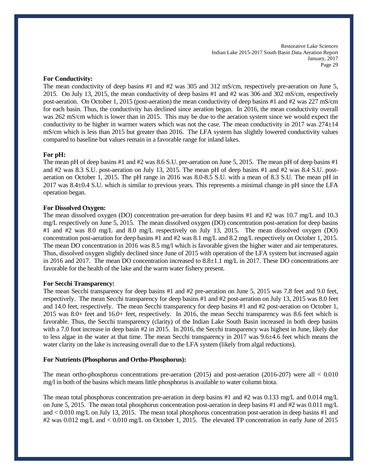#### **For Conductivity:**

The mean conductivity of deep basins #1 and #2 was 305 and 312 mS/cm, respectively pre-aeration on June 5, 2015. On July 13, 2015, the mean conductivity of deep basins #1 and #2 was 306 and 302 mS/cm, respectively post-aeration. On October 1, 2015 (post-aeration) the mean conductivity of deep basins #1 and #2 was 227 mS/cm for each basin. Thus, the conductivity has declined since aeration began. In 2016, the mean conductivity overall was 262 mS/cm which is lower than in 2015. This may be due to the aeration system since we would expect the conductivity to be higher in warmer waters which was not the case. The mean conductivity in 2017 was  $274\pm14$ mS/cm which is less than 2015 but greater than 2016. The LFA system has slightly lowered conductivity values compared to baseline but values remain in a favorable range for inland lakes.

#### **For pH:**

The mean pH of deep basins #1 and #2 was 8.6 S.U. pre-aeration on June 5, 2015. The mean pH of deep basins #1 and #2 was 8.3 S.U. post-aeration on July 13, 2015. The mean pH of deep basins #1 and #2 was 8.4 S.U. postaeration on October 1, 2015. The pH range in 2016 was 8.0-8.5 S.U. with a mean of 8.3 S.U. The mean pH in 2017 was 8.4±0.4 S.U. which is similar to previous years. This represents a minimal change in pH since the LFA operation began.

#### **For Dissolved Oxygen:**

The mean dissolved oxygen (DO) concentration pre-aeration for deep basins #1 and #2 was 10.7 mg/L and 10.3 mg/L respectively on June 5, 2015. The mean dissolved oxygen (DO) concentration post-aeration for deep basins #1 and #2 was 8.0 mg/L and 8.0 mg/L respectively on July 13, 2015. The mean dissolved oxygen (DO) concentration post-aeration for deep basins #1 and #2 was 8.1 mg/L and 8.2 mg/L respectively on October 1, 2015. The mean DO concentration in 2016 was 8.5 mg/l which is favorable given the higher water and air temperatures. Thus, dissolved oxygen slightly declined since June of 2015 with operation of the LFA system but increased again in 2016 and 2017. The mean DO concentration increased to 8.8±1.1 mg/L in 2017. These DO concentrations are favorable for the health of the lake and the warm water fishery present.

#### **For Secchi Transparency:**

The mean Secchi transparency for deep basins #1 and #2 pre-aeration on June 5, 2015 was 7.8 feet and 9.0 feet, respectively. The mean Secchi transparency for deep basins #1 and #2 post-aeration on July 13, 2015 was 8.0 feet and 14.0 feet, respectively. The mean Secchi transparency for deep basins #1 and #2 post-aeration on October 1, 2015 was 8.0+ feet and 16.0+ feet, respectively. In 2016, the mean Secchi transparency was 8.6 feet which is favorable. Thus, the Secchi transparency (clarity) of the Indian Lake South Basin increased in both deep basins with a 7.0 foot increase in deep basin #2 in 2015. In 2016, the Secchi transparency was highest in June, likely due to less algae in the water at that time. The mean Secchi transparency in 2017 was 9.6±4.6 feet which means the water clarity on the lake is increasing overall due to the LFA system (likely from algal reductions).

#### **For Nutrients (Phosphorus and Ortho-Phosphorus):**

The mean ortho-phosphorus concentrations pre-aeration (2015) and post-aeration (2016-207) were all < 0.010 mg/l in both of the basins which means little phosphorus is available to water column biota.

The mean total phosphorus concentration pre-aeration in deep basins #1 and #2 was 0.133 mg/L and 0.014 mg/L on June 5, 2015. The mean total phosphorus concentration post-aeration in deep basins #1 and #2 was 0.011 mg/L and < 0.010 mg/L on July 13, 2015. The mean total phosphorus concentration post-aeration in deep basins #1 and #2 was 0.012 mg/L and < 0.010 mg/L on October 1, 2015. The elevated TP concentration in early June of 2015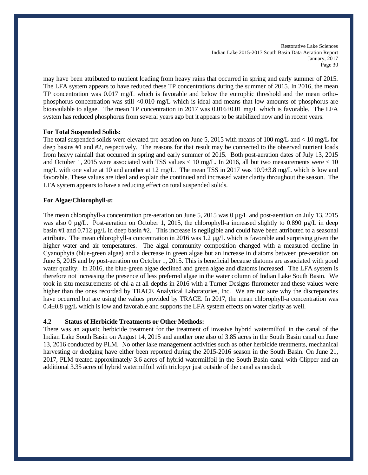may have been attributed to nutrient loading from heavy rains that occurred in spring and early summer of 2015. The LFA system appears to have reduced these TP concentrations during the summer of 2015. In 2016, the mean TP concentration was 0.017 mg/L which is favorable and below the eutrophic threshold and the mean orthophosphorus concentration was still <0.010 mg/L which is ideal and means that low amounts of phosphorus are bioavailable to algae. The mean TP concentration in 2017 was 0.016±0.01 mg/L which is favorable. The LFA system has reduced phosphorus from several years ago but it appears to be stabilized now and in recent years.

#### **For Total Suspended Solids:**

The total suspended solids were elevated pre-aeration on June 5, 2015 with means of 100 mg/L and < 10 mg/L for deep basins #1 and #2, respectively. The reasons for that result may be connected to the observed nutrient loads from heavy rainfall that occurred in spring and early summer of 2015. Both post-aeration dates of July 13, 2015 and October 1, 2015 were associated with TSS values < 10 mg/L. In 2016, all but two measurements were < 10 mg/L with one value at 10 and another at 12 mg/L. The mean TSS in 2017 was 10.9±3.8 mg/L which is low and favorable. These values are ideal and explain the continued and increased water clarity throughout the season. The LFA system appears to have a reducing effect on total suspended solids.

#### **For Algae/Chlorophyll-***a***:**

The mean chlorophyll-a concentration pre-aeration on June 5, 2015 was 0 µg/L and post-aeration on July 13, 2015 was also 0  $\mu$ g/L. Post-aeration on October 1, 2015, the chlorophyll-a increased slightly to 0.890  $\mu$ g/L in deep basin #1 and 0.712 µg/L in deep basin #2. This increase is negligible and could have been attributed to a seasonal attribute. The mean chlorophyll-a concentration in 2016 was  $1.2 \mu g/L$  which is favorable and surprising given the higher water and air temperatures. The algal community composition changed with a measured decline in Cyanophyta (blue-green algae) and a decrease in green algae but an increase in diatoms between pre-aeration on June 5, 2015 and by post-aeration on October 1, 2015. This is beneficial because diatoms are associated with good water quality. In 2016, the blue-green algae declined and green algae and diatoms increased. The LFA system is therefore not increasing the presence of less preferred algae in the water column of Indian Lake South Basin. We took in situ measurements of chl-a at all depths in 2016 with a Turner Designs flurometer and these values were higher than the ones recorded by TRACE Analytical Laboratories, Inc. We are not sure why the discrepancies have occurred but are using the values provided by TRACE. In 2017, the mean chlorophyll-a concentration was 0.4±0.8 µg/L which is low and favorable and supports the LFA system effects on water clarity as well.

#### **4.2 Status of Herbicide Treatments or Other Methods:**

There was an aquatic herbicide treatment for the treatment of invasive hybrid watermilfoil in the canal of the Indian Lake South Basin on August 14, 2015 and another one also of 3.85 acres in the South Basin canal on June 13, 2016 conducted by PLM. No other lake management activities such as other herbicide treatments, mechanical harvesting or dredging have either been reported during the 2015-2016 season in the South Basin. On June 21, 2017, PLM treated approximately 3.6 acres of hybrid watermilfoil in the South Basin canal with Clipper and an additional 3.35 acres of hybrid watermilfoil with triclopyr just outside of the canal as needed.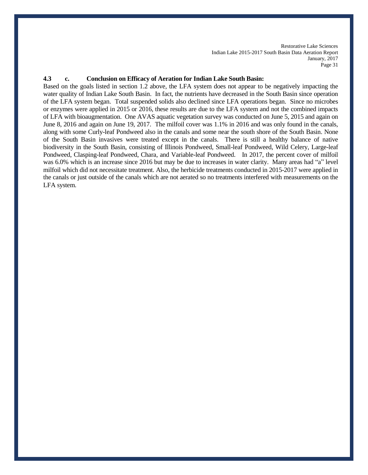#### **4.3 c. Conclusion on Efficacy of Aeration for Indian Lake South Basin:**

Based on the goals listed in section 1.2 above, the LFA system does not appear to be negatively impacting the water quality of Indian Lake South Basin. In fact, the nutrients have decreased in the South Basin since operation of the LFA system began. Total suspended solids also declined since LFA operations began. Since no microbes or enzymes were applied in 2015 or 2016, these results are due to the LFA system and not the combined impacts of LFA with bioaugmentation. One AVAS aquatic vegetation survey was conducted on June 5, 2015 and again on June 8, 2016 and again on June 19, 2017. The milfoil cover was 1.1% in 2016 and was only found in the canals, along with some Curly-leaf Pondweed also in the canals and some near the south shore of the South Basin. None of the South Basin invasives were treated except in the canals. There is still a healthy balance of native biodiversity in the South Basin, consisting of Illinois Pondweed, Small-leaf Pondweed, Wild Celery, Large-leaf Pondweed, Clasping-leaf Pondweed, Chara, and Variable-leaf Pondweed. In 2017, the percent cover of milfoil was 6.0% which is an increase since 2016 but may be due to increases in water clarity. Many areas had "a" level milfoil which did not necessitate treatment. Also, the herbicide treatments conducted in 2015-2017 were applied in the canals or just outside of the canals which are not aerated so no treatments interfered with measurements on the LFA system.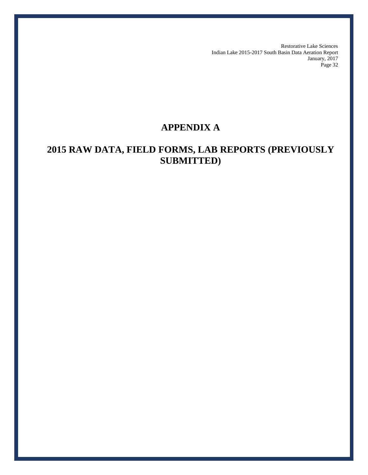# **APPENDIX A**

# **2015 RAW DATA, FIELD FORMS, LAB REPORTS (PREVIOUSLY SUBMITTED)**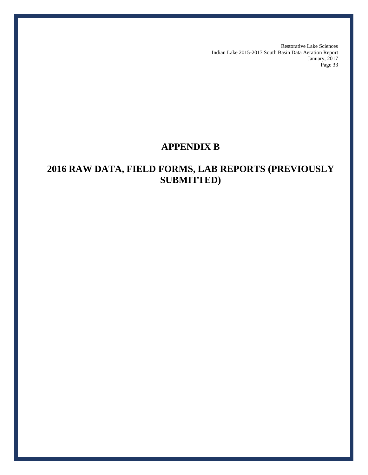# **APPENDIX B**

# **2016 RAW DATA, FIELD FORMS, LAB REPORTS (PREVIOUSLY SUBMITTED)**